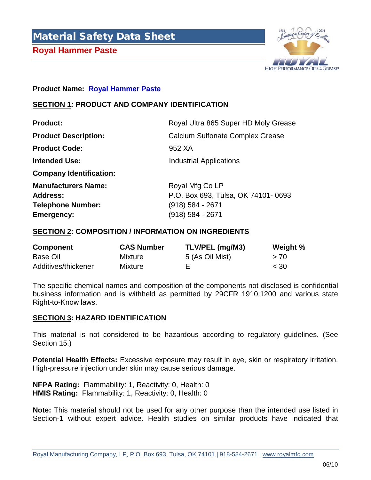



#### **Product Name: Royal Hammer Paste**

### **SECTION 1***:* **PRODUCT AND COMPANY IDENTIFICATION**

| <b>Product:</b>                | Royal Ultra 865 Super HD Moly Grease    |  |  |
|--------------------------------|-----------------------------------------|--|--|
| <b>Product Description:</b>    | <b>Calcium Sulfonate Complex Grease</b> |  |  |
| <b>Product Code:</b>           | 952 XA                                  |  |  |
| <b>Intended Use:</b>           | <b>Industrial Applications</b>          |  |  |
| <b>Company Identification:</b> |                                         |  |  |
| <b>Manufacturers Name:</b>     | Royal Mfg Co LP                         |  |  |
| Address:                       | P.O. Box 693, Tulsa, OK 74101-0693      |  |  |
| <b>Telephone Number:</b>       | (918) 584 - 2671                        |  |  |
| <b>Emergency:</b>              | (918) 584 - 2671                        |  |  |

### **SECTION 2: COMPOSITION / INFORMATION ON INGREDIENTS**

| <b>Component</b>    | <b>CAS Number</b> | TLV/PEL (mg/M3) | Weight % |
|---------------------|-------------------|-----------------|----------|
| Base Oil            | Mixture           | 5 (As Oil Mist) | >70      |
| Additives/thickener | Mixture           |                 | $<$ 30   |

The specific chemical names and composition of the components not disclosed is confidential business information and is withheld as permitted by 29CFR 1910.1200 and various state Right-to-Know laws.

### **SECTION 3: HAZARD IDENTIFICATION**

This material is not considered to be hazardous according to regulatory guidelines. (See Section 15.)

**Potential Health Effects:** Excessive exposure may result in eye, skin or respiratory irritation. High-pressure injection under skin may cause serious damage.

**NFPA Rating:** Flammability: 1, Reactivity: 0, Health: 0 **HMIS Rating:** Flammability: 1, Reactivity: 0, Health: 0

**Note:** This material should not be used for any other purpose than the intended use listed in Section-1 without expert advice. Health studies on similar products have indicated that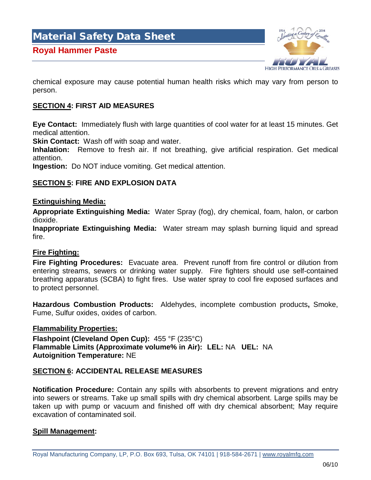

chemical exposure may cause potential human health risks which may vary from person to person.

### **SECTION 4: FIRST AID MEASURES**

**Eye Contact:** Immediately flush with large quantities of cool water for at least 15 minutes. Get medical attention.

**Skin Contact:** Wash off with soap and water.

**Inhalation:** Remove to fresh air. If not breathing, give artificial respiration. Get medical attention.

**Ingestion:** Do NOT induce vomiting. Get medical attention.

### **SECTION 5: FIRE AND EXPLOSION DATA**

#### **Extinguishing Media:**

**Appropriate Extinguishing Media:** Water Spray (fog), dry chemical, foam, halon, or carbon dioxide.

**Inappropriate Extinguishing Media:** Water stream may splash burning liquid and spread fire.

### **Fire Fighting:**

**Fire Fighting Procedures:** Evacuate area. Prevent runoff from fire control or dilution from entering streams, sewers or drinking water supply. Fire fighters should use self-contained breathing apparatus (SCBA) to fight fires. Use water spray to cool fire exposed surfaces and to protect personnel.

**Hazardous Combustion Products:** Aldehydes, incomplete combustion products**,** Smoke, Fume, Sulfur oxides, oxides of carbon.

### **Flammability Properties:**

**Flashpoint (Cleveland Open Cup):** 455 °F (235°C) **Flammable Limits (Approximate volume% in Air): LEL:** NA **UEL:** NA **Autoignition Temperature:** NE

### **SECTION 6: ACCIDENTAL RELEASE MEASURES**

**Notification Procedure:** Contain any spills with absorbents to prevent migrations and entry into sewers or streams. Take up small spills with dry chemical absorbent. Large spills may be taken up with pump or vacuum and finished off with dry chemical absorbent; May require excavation of contaminated soil.

### **Spill Management:**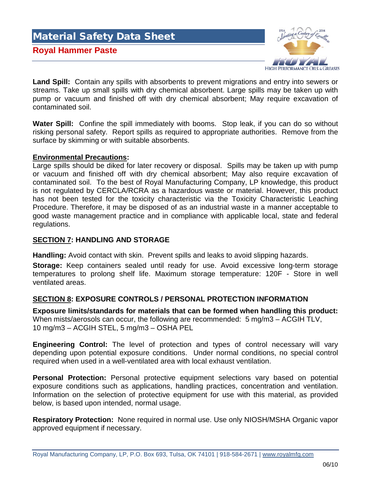# Material Safety Data Sheet **Royal Hammer Paste**  HIGH PERFORMANCE OILS & GREASES

**Land Spill:** Contain any spills with absorbents to prevent migrations and entry into sewers or streams. Take up small spills with dry chemical absorbent. Large spills may be taken up with pump or vacuum and finished off with dry chemical absorbent; May require excavation of contaminated soil.

**Water Spill:** Confine the spill immediately with booms. Stop leak, if you can do so without risking personal safety. Report spills as required to appropriate authorities. Remove from the surface by skimming or with suitable absorbents.

### **Environmental Precautions:**

Large spills should be diked for later recovery or disposal. Spills may be taken up with pump or vacuum and finished off with dry chemical absorbent; May also require excavation of contaminated soil. To the best of Royal Manufacturing Company, LP knowledge, this product is not regulated by CERCLA/RCRA as a hazardous waste or material. However, this product has not been tested for the toxicity characteristic via the Toxicity Characteristic Leaching Procedure. Therefore, it may be disposed of as an industrial waste in a manner acceptable to good waste management practice and in compliance with applicable local, state and federal regulations.

### **SECTION 7: HANDLING AND STORAGE**

**Handling:** Avoid contact with skin. Prevent spills and leaks to avoid slipping hazards.

**Storage:** Keep containers sealed until ready for use. Avoid excessive long-term storage temperatures to prolong shelf life. Maximum storage temperature: 120F - Store in well ventilated areas.

### **SECTION 8: EXPOSURE CONTROLS / PERSONAL PROTECTION INFORMATION**

**Exposure limits/standards for materials that can be formed when handling this product:**  When mists/aerosols can occur, the following are recommended: 5 mg/m3 – ACGIH TLV, 10 mg/m3 – ACGIH STEL, 5 mg/m3 – OSHA PEL

**Engineering Control:** The level of protection and types of control necessary will vary depending upon potential exposure conditions.Under normal conditions, no special control required when used in a well-ventilated area with local exhaust ventilation.

**Personal Protection:** Personal protective equipment selections vary based on potential exposure conditions such as applications, handling practices, concentration and ventilation. Information on the selection of protective equipment for use with this material, as provided below, is based upon intended, normal usage.

**Respiratory Protection:** None required in normal use. Use only NIOSH/MSHA Organic vapor approved equipment if necessary.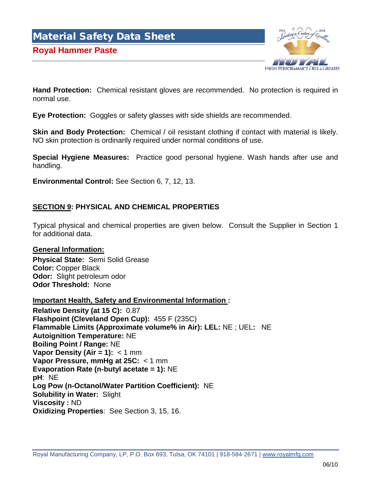### **Royal Hammer Paste**



**Hand Protection:** Chemical resistant gloves are recommended. No protection is required in normal use.

**Eye Protection:** Goggles or safety glasses with side shields are recommended.

**Skin and Body Protection:** Chemical / oil resistant clothing if contact with material is likely. NO skin protection is ordinarily required under normal conditions of use.

**Special Hygiene Measures:** Practice good personal hygiene. Wash hands after use and handling.

**Environmental Control:** See Section 6, 7, 12, 13.

### **SECTION 9: PHYSICAL AND CHEMICAL PROPERTIES**

Typical physical and chemical properties are given below. Consult the Supplier in Section 1 for additional data.

#### **General Information:**

**Physical State:** Semi Solid Grease **Color:** Copper Black **Odor:** Slight petroleum odor **Odor Threshold:** None

### **Important Health, Safety and Environmental Information :**

**Relative Density (at 15 C):** 0.87 **Flashpoint (Cleveland Open Cup):** 455 F (235C) **Flammable Limits (Approximate volume% in Air): LEL:** NE ; UEL**:** NE **Autoignition Temperature:** NE **Boiling Point / Range:** NE **Vapor Density (Air = 1):** < 1 mm **Vapor Pressure, mmHg at 25C:** < 1 mm **Evaporation Rate (n-butyl acetate = 1):** NE **pH**: NE **Log Pow (n-Octanol/Water Partition Coefficient):** NE **Solubility in Water:** Slight **Viscosity :** ND **Oxidizing Properties**: See Section 3, 15, 16.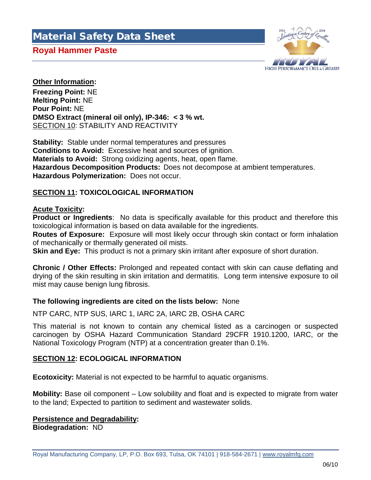### **Royal Hammer Paste**



### **Other Information:**

**Freezing Point:** NE **Melting Point:** NE **Pour Point:** NE **DMSO Extract (mineral oil only), IP-346: < 3 % wt.**  SECTION 10: STABILITY AND REACTIVITY

**Stability:** Stable under normal temperatures and pressures **Conditions to Avoid:** Excessive heat and sources of ignition. **Materials to Avoid:** Strong oxidizing agents, heat, open flame. **Hazardous Decomposition Products:** Does not decompose at ambient temperatures. **Hazardous Polymerization:** Does not occur.

### **SECTION 11: TOXICOLOGICAL INFORMATION**

### **Acute Toxicity:**

**Product or Ingredients**: No data is specifically available for this product and therefore this toxicological information is based on data available for the ingredients.

**Routes of Exposure:** Exposure will most likely occur through skin contact or form inhalation of mechanically or thermally generated oil mists.

**Skin and Eye:** This product is not a primary skin irritant after exposure of short duration.

**Chronic / Other Effects:** Prolonged and repeated contact with skin can cause deflating and drying of the skin resulting in skin irritation and dermatitis. Long term intensive exposure to oil mist may cause benign lung fibrosis.

### **The following ingredients are cited on the lists below:** None

NTP CARC, NTP SUS, IARC 1, IARC 2A, IARC 2B, OSHA CARC

This material is not known to contain any chemical listed as a carcinogen or suspected carcinogen by OSHA Hazard Communication Standard 29CFR 1910.1200, IARC, or the National Toxicology Program (NTP) at a concentration greater than 0.1%.

### **SECTION 12: ECOLOGICAL INFORMATION**

**Ecotoxicity:** Material is not expected to be harmful to aquatic organisms.

**Mobility:** Base oil component – Low solubility and float and is expected to migrate from water to the land; Expected to partition to sediment and wastewater solids.

# **Persistence and Degradability:**

**Biodegradation:** ND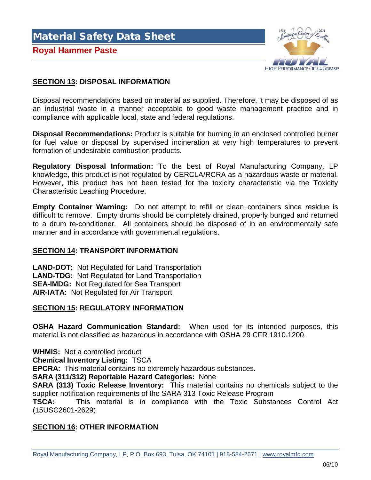Material Safety Data Sheet **Royal Hammer Paste** 



### **SECTION 13: DISPOSAL INFORMATION**

Disposal recommendations based on material as supplied. Therefore, it may be disposed of as an industrial waste in a manner acceptable to good waste management practice and in compliance with applicable local, state and federal regulations.

**Disposal Recommendations:** Product is suitable for burning in an enclosed controlled burner for fuel value or disposal by supervised incineration at very high temperatures to prevent formation of undesirable combustion products.

**Regulatory Disposal Information:** To the best of Royal Manufacturing Company, LP knowledge, this product is not regulated by CERCLA/RCRA as a hazardous waste or material. However, this product has not been tested for the toxicity characteristic via the Toxicity Characteristic Leaching Procedure.

**Empty Container Warning:** Do not attempt to refill or clean containers since residue is difficult to remove. Empty drums should be completely drained, properly bunged and returned to a drum re-conditioner. All containers should be disposed of in an environmentally safe manner and in accordance with governmental regulations.

### **SECTION 14: TRANSPORT INFORMATION**

**LAND-DOT:** Not Regulated for Land Transportation **LAND-TDG:** Not Regulated for Land Transportation **SEA-IMDG:** Not Regulated for Sea Transport **AIR-IATA:** Not Regulated for Air Transport

### **SECTION 15: REGULATORY INFORMATION**

**OSHA Hazard Communication Standard:** When used for its intended purposes, this material is not classified as hazardous in accordance with OSHA 29 CFR 1910.1200.

**WHMIS:** Not a controlled product

**Chemical Inventory Listing:** TSCA

**EPCRA:** This material contains no extremely hazardous substances.

**SARA (311/312) Reportable Hazard Categories:** None

**SARA (313) Toxic Release Inventory:** This material contains no chemicals subject to the supplier notification requirements of the SARA 313 Toxic Release Program

**TSCA:** This material is in compliance with the Toxic Substances Control Act (15USC2601-2629)

### **SECTION 16: OTHER INFORMATION**